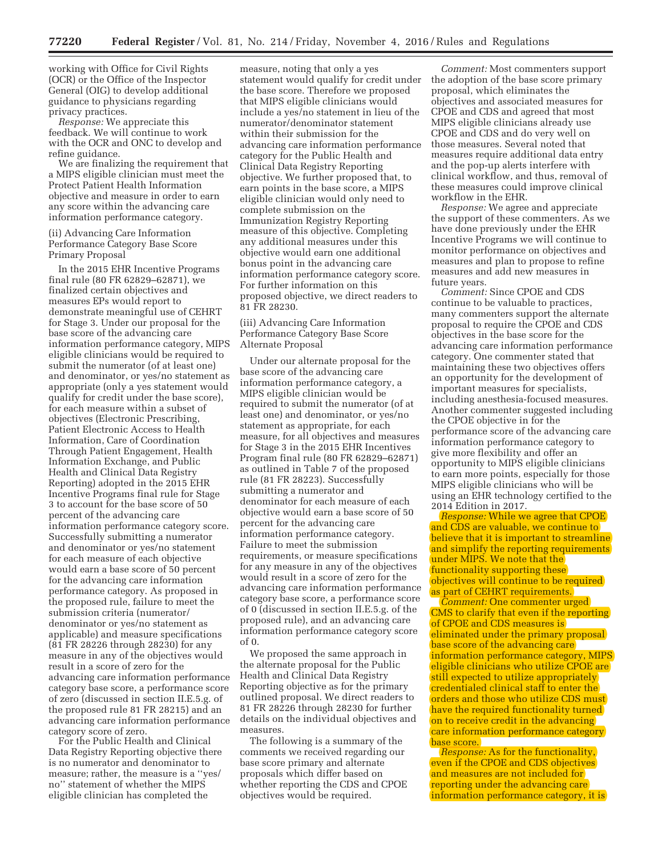working with Office for Civil Rights (OCR) or the Office of the Inspector General (OIG) to develop additional guidance to physicians regarding privacy practices.

*Response:* We appreciate this feedback. We will continue to work with the OCR and ONC to develop and refine guidance.

We are finalizing the requirement that a MIPS eligible clinician must meet the Protect Patient Health Information objective and measure in order to earn any score within the advancing care information performance category.

(ii) Advancing Care Information Performance Category Base Score Primary Proposal

In the 2015 EHR Incentive Programs final rule (80 FR 62829–62871), we finalized certain objectives and measures EPs would report to demonstrate meaningful use of CEHRT for Stage 3. Under our proposal for the base score of the advancing care information performance category, MIPS eligible clinicians would be required to submit the numerator (of at least one) and denominator, or yes/no statement as appropriate (only a yes statement would qualify for credit under the base score), for each measure within a subset of objectives (Electronic Prescribing, Patient Electronic Access to Health Information, Care of Coordination Through Patient Engagement, Health Information Exchange, and Public Health and Clinical Data Registry Reporting) adopted in the 2015 EHR Incentive Programs final rule for Stage 3 to account for the base score of 50 percent of the advancing care information performance category score. Successfully submitting a numerator and denominator or yes/no statement for each measure of each objective would earn a base score of 50 percent for the advancing care information performance category. As proposed in the proposed rule, failure to meet the submission criteria (numerator/ denominator or yes/no statement as applicable) and measure specifications (81 FR 28226 through 28230) for any measure in any of the objectives would result in a score of zero for the advancing care information performance category base score, a performance score of zero (discussed in section II.E.5.g. of the proposed rule 81 FR 28215) and an advancing care information performance category score of zero.

For the Public Health and Clinical Data Registry Reporting objective there is no numerator and denominator to measure; rather, the measure is a ''yes/ no'' statement of whether the MIPS eligible clinician has completed the

measure, noting that only a yes statement would qualify for credit under the base score. Therefore we proposed that MIPS eligible clinicians would include a yes/no statement in lieu of the numerator/denominator statement within their submission for the advancing care information performance category for the Public Health and Clinical Data Registry Reporting objective. We further proposed that, to earn points in the base score, a MIPS eligible clinician would only need to complete submission on the Immunization Registry Reporting measure of this objective. Completing any additional measures under this objective would earn one additional bonus point in the advancing care information performance category score. For further information on this proposed objective, we direct readers to 81 FR 28230.

## (iii) Advancing Care Information Performance Category Base Score Alternate Proposal

Under our alternate proposal for the base score of the advancing care information performance category, a MIPS eligible clinician would be required to submit the numerator (of at least one) and denominator, or yes/no statement as appropriate, for each measure, for all objectives and measures for Stage 3 in the 2015 EHR Incentives Program final rule (80 FR 62829–62871) as outlined in Table 7 of the proposed rule (81 FR 28223). Successfully submitting a numerator and denominator for each measure of each objective would earn a base score of 50 percent for the advancing care information performance category. Failure to meet the submission requirements, or measure specifications for any measure in any of the objectives would result in a score of zero for the advancing care information performance category base score, a performance score of 0 (discussed in section II.E.5.g. of the proposed rule), and an advancing care information performance category score of 0.

We proposed the same approach in the alternate proposal for the Public Health and Clinical Data Registry Reporting objective as for the primary outlined proposal. We direct readers to 81 FR 28226 through 28230 for further details on the individual objectives and measures.

The following is a summary of the comments we received regarding our base score primary and alternate proposals which differ based on whether reporting the CDS and CPOE objectives would be required.

*Comment:* Most commenters support the adoption of the base score primary proposal, which eliminates the objectives and associated measures for CPOE and CDS and agreed that most MIPS eligible clinicians already use CPOE and CDS and do very well on those measures. Several noted that measures require additional data entry and the pop-up alerts interfere with clinical workflow, and thus, removal of these measures could improve clinical workflow in the EHR.

*Response:* We agree and appreciate the support of these commenters. As we have done previously under the EHR Incentive Programs we will continue to monitor performance on objectives and measures and plan to propose to refine measures and add new measures in future years.

*Comment:* Since CPOE and CDS continue to be valuable to practices, many commenters support the alternate proposal to require the CPOE and CDS objectives in the base score for the advancing care information performance category. One commenter stated that maintaining these two objectives offers an opportunity for the development of important measures for specialists, including anesthesia-focused measures. Another commenter suggested including the CPOE objective in for the performance score of the advancing care information performance category to give more flexibility and offer an opportunity to MIPS eligible clinicians to earn more points, especially for those MIPS eligible clinicians who will be using an EHR technology certified to the 2014 Edition in 2017.

*Response:* While we agree that CPOE and CDS are valuable, we continue to believe that it is important to streamline and simplify the reporting requirements under MIPS. We note that the functionality supporting these objectives will continue to be required as part of CEHRT requirements.

*Comment:* One commenter urged CMS to clarify that even if the reporting of CPOE and CDS measures is eliminated under the primary proposal base score of the advancing care information performance category, MIPS eligible clinicians who utilize CPOE are still expected to utilize appropriately credentialed clinical staff to enter the orders and those who utilize CDS must have the required functionality turned on to receive credit in the advancing care information performance category base score.

*Response:* As for the functionality, even if the CPOE and CDS objectives and measures are not included for reporting under the advancing care information performance category, it is